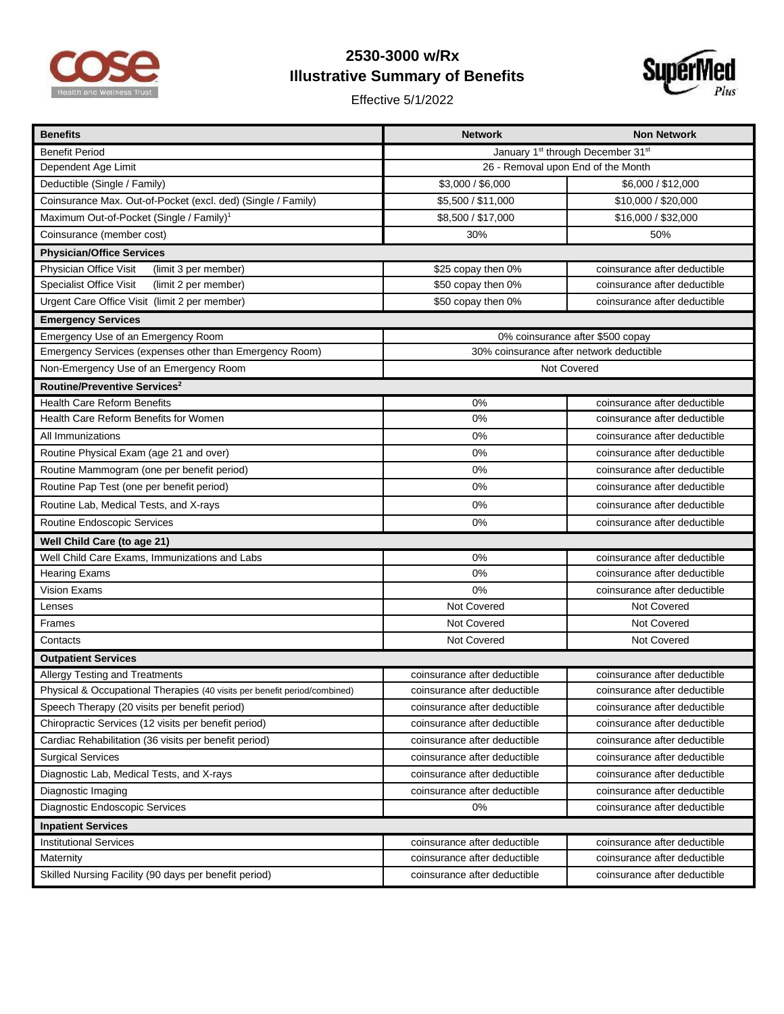

## **2530-3000 w/Rx Illustrative Summary of Benefits**

Effective 5/1/2022



| <b>Benefits</b>                                                           | <b>Network</b>                                            | <b>Non Network</b>           |  |
|---------------------------------------------------------------------------|-----------------------------------------------------------|------------------------------|--|
| <b>Benefit Period</b>                                                     | January 1 <sup>st</sup> through December 31 <sup>st</sup> |                              |  |
| Dependent Age Limit                                                       | 26 - Removal upon End of the Month                        |                              |  |
| Deductible (Single / Family)                                              | \$3,000 / \$6,000                                         | \$6,000 / \$12,000           |  |
| Coinsurance Max. Out-of-Pocket (excl. ded) (Single / Family)              | \$5,500 / \$11,000                                        | \$10,000 / \$20,000          |  |
| Maximum Out-of-Pocket (Single / Family) <sup>1</sup>                      | \$8,500 / \$17,000                                        | \$16,000 / \$32,000          |  |
| Coinsurance (member cost)                                                 | 30%                                                       | 50%                          |  |
| <b>Physician/Office Services</b>                                          |                                                           |                              |  |
| Physician Office Visit<br>(limit 3 per member)                            | \$25 copay then 0%                                        | coinsurance after deductible |  |
| <b>Specialist Office Visit</b><br>(limit 2 per member)                    | \$50 copay then 0%                                        | coinsurance after deductible |  |
| Urgent Care Office Visit (limit 2 per member)                             | \$50 copay then 0%                                        | coinsurance after deductible |  |
| <b>Emergency Services</b>                                                 |                                                           |                              |  |
| Emergency Use of an Emergency Room                                        | 0% coinsurance after \$500 copay                          |                              |  |
| Emergency Services (expenses other than Emergency Room)                   | 30% coinsurance after network deductible                  |                              |  |
| Non-Emergency Use of an Emergency Room                                    | Not Covered                                               |                              |  |
| Routine/Preventive Services <sup>2</sup>                                  |                                                           |                              |  |
| <b>Health Care Reform Benefits</b>                                        | 0%                                                        | coinsurance after deductible |  |
| Health Care Reform Benefits for Women                                     | 0%                                                        | coinsurance after deductible |  |
| All Immunizations                                                         | 0%                                                        | coinsurance after deductible |  |
| Routine Physical Exam (age 21 and over)                                   | 0%                                                        | coinsurance after deductible |  |
| Routine Mammogram (one per benefit period)                                | 0%                                                        | coinsurance after deductible |  |
| Routine Pap Test (one per benefit period)                                 | 0%                                                        | coinsurance after deductible |  |
| Routine Lab, Medical Tests, and X-rays                                    | 0%                                                        | coinsurance after deductible |  |
| Routine Endoscopic Services                                               | 0%                                                        | coinsurance after deductible |  |
| Well Child Care (to age 21)                                               |                                                           |                              |  |
| Well Child Care Exams, Immunizations and Labs                             | 0%                                                        | coinsurance after deductible |  |
| <b>Hearing Exams</b>                                                      | 0%                                                        | coinsurance after deductible |  |
| Vision Exams                                                              | 0%                                                        | coinsurance after deductible |  |
| Lenses                                                                    | Not Covered                                               | Not Covered                  |  |
| Frames                                                                    | Not Covered                                               | Not Covered                  |  |
| Contacts                                                                  | Not Covered                                               | Not Covered                  |  |
| <b>Outpatient Services</b>                                                |                                                           |                              |  |
| Allergy Testing and Treatments                                            | coinsurance after deductible                              | coinsurance after deductible |  |
| Physical & Occupational Therapies (40 visits per benefit period/combined) | coinsurance after deductible                              | coinsurance after deductible |  |
| Speech Therapy (20 visits per benefit period)                             | coinsurance after deductible                              | coinsurance after deductible |  |
| Chiropractic Services (12 visits per benefit period)                      | coinsurance after deductible                              | coinsurance after deductible |  |
| Cardiac Rehabilitation (36 visits per benefit period)                     | coinsurance after deductible                              | coinsurance after deductible |  |
| <b>Surgical Services</b>                                                  | coinsurance after deductible                              | coinsurance after deductible |  |
| Diagnostic Lab, Medical Tests, and X-rays                                 | coinsurance after deductible                              | coinsurance after deductible |  |
| Diagnostic Imaging                                                        | coinsurance after deductible                              | coinsurance after deductible |  |
| Diagnostic Endoscopic Services                                            | 0%                                                        | coinsurance after deductible |  |
| <b>Inpatient Services</b>                                                 |                                                           |                              |  |
| <b>Institutional Services</b>                                             | coinsurance after deductible                              | coinsurance after deductible |  |
| Maternity                                                                 | coinsurance after deductible                              | coinsurance after deductible |  |
| Skilled Nursing Facility (90 days per benefit period)                     | coinsurance after deductible                              | coinsurance after deductible |  |